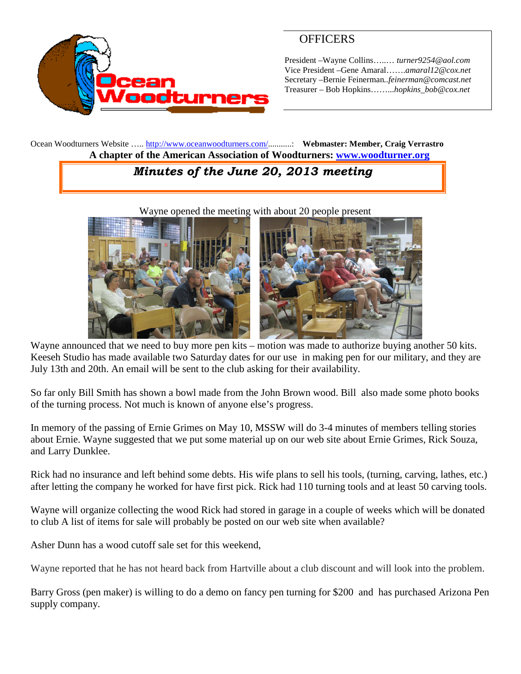

# **OFFICERS**

President –Wayne Collins…..… *turner9254@aol.com* Vice President –Gene Amaral…….*amaral12@cox.net* Secretary –Bernie Feinerman*..feinerman@comcast.net* Treasurer – Bob Hopkins……...*hopkins\_bob@cox.net*

Ocean Woodturners Website ….. <http://www.oceanwoodturners.com/>...........: **Webmaster: Member, Craig Verrastro A chapter of the American Association of Woodturners: [www.woodturner.org](http://www.woodturner.org/)**

# *Minutes of the June 20, 2013 meeting*

Wayne opened the meeting with about 20 people present



Wayne announced that we need to buy more pen kits – motion was made to authorize buying another 50 kits. Keeseh Studio has made available two Saturday dates for our use in making pen for our military, and they are July 13th and 20th. An email will be sent to the club asking for their availability.

So far only Bill Smith has shown a bowl made from the John Brown wood. Bill also made some photo books of the turning process. Not much is known of anyone else's progress.

In memory of the passing of Ernie Grimes on May 10, MSSW will do 3-4 minutes of members telling stories about Ernie. Wayne suggested that we put some material up on our web site about Ernie Grimes, Rick Souza, and Larry Dunklee.

Rick had no insurance and left behind some debts. His wife plans to sell his tools, (turning, carving, lathes, etc.) after letting the company he worked for have first pick. Rick had 110 turning tools and at least 50 carving tools.

Wayne will organize collecting the wood Rick had stored in garage in a couple of weeks which will be donated to club A list of items for sale will probably be posted on our web site when available?

Asher Dunn has a wood cutoff sale set for this weekend,

Wayne reported that he has not heard back from Hartville about a club discount and will look into the problem.

Barry Gross (pen maker) is willing to do a demo on fancy pen turning for \$200 and has purchased Arizona Pen supply company.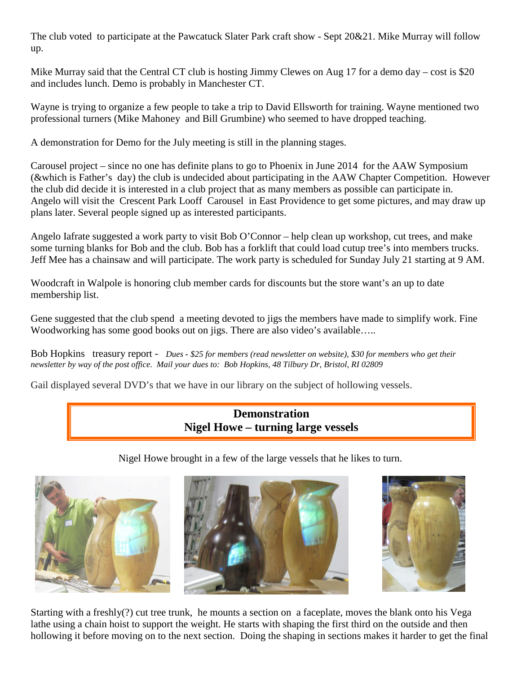The club voted to participate at the Pawcatuck Slater Park craft show - Sept 20&21. Mike Murray will follow up.

Mike Murray said that the Central CT club is hosting Jimmy Clewes on Aug 17 for a demo day – cost is \$20 and includes lunch. Demo is probably in Manchester CT.

Wayne is trying to organize a few people to take a trip to David Ellsworth for training. Wayne mentioned two professional turners (Mike Mahoney and Bill Grumbine) who seemed to have dropped teaching.

A demonstration for Demo for the July meeting is still in the planning stages.

Carousel project – since no one has definite plans to go to Phoenix in June 2014 for the AAW Symposium (&which is Father's day) the club is undecided about participating in the AAW Chapter Competition. However the club did decide it is interested in a club project that as many members as possible can participate in. Angelo will visit the Crescent Park Looff Carousel in East Providence to get some pictures, and may draw up plans later. Several people signed up as interested participants.

Angelo Iafrate suggested a work party to visit Bob O'Connor – help clean up workshop, cut trees, and make some turning blanks for Bob and the club. Bob has a forklift that could load cutup tree's into members trucks. Jeff Mee has a chainsaw and will participate. The work party is scheduled for Sunday July 21 starting at 9 AM.

Woodcraft in Walpole is honoring club member cards for discounts but the store want's an up to date membership list.

Gene suggested that the club spend a meeting devoted to jigs the members have made to simplify work. Fine Woodworking has some good books out on jigs. There are also video's available.....

Bob Hopkins treasury report - *Dues - \$25 for members (read newsletter on website), \$30 for members who get their newsletter by way of the post office. Mail your dues to: Bob Hopkins, 48 Tilbury Dr, Bristol, RI 02809*

Gail displayed several DVD's that we have in our library on the subject of hollowing vessels.

## **Demonstration Nigel Howe – turning large vessels**

Nigel Howe brought in a few of the large vessels that he likes to turn.







Starting with a freshly(?) cut tree trunk, he mounts a section on a faceplate, moves the blank onto his Vega lathe using a chain hoist to support the weight. He starts with shaping the first third on the outside and then hollowing it before moving on to the next section. Doing the shaping in sections makes it harder to get the final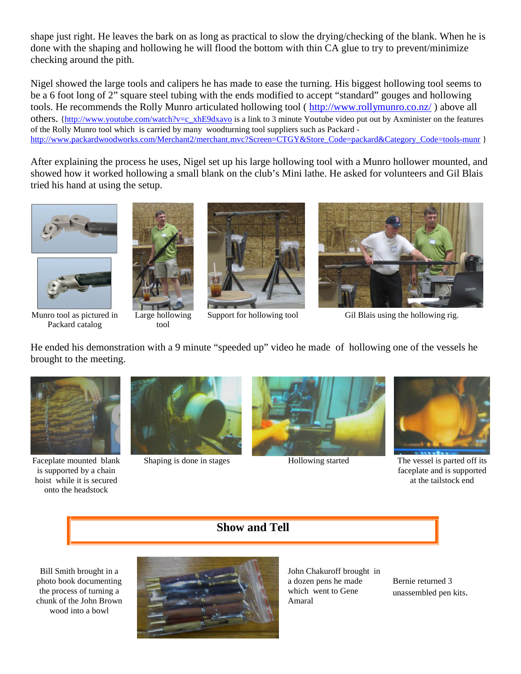shape just right. He leaves the bark on as long as practical to slow the drying/checking of the blank. When he is done with the shaping and hollowing he will flood the bottom with thin CA glue to try to prevent/minimize checking around the pith.

Nigel showed the large tools and calipers he has made to ease the turning. His biggest hollowing tool seems to be a 6 foot long of 2" square steel tubing with the ends modified to accept "standard" gouges and hollowing tools. He recommends the Rolly Munro articulated hollowing tool ( <http://www.rollymunro.co.nz/> ) above all others. [{http://www.youtube.com/watch?v=c\\_xhE9dxavo](http://www.youtube.com/watch?v=c_xhE9dxavo) is a link to 3 minute Youtube video put out by Axminister on the features of the Rolly Munro tool which is carried by many woodturning tool suppliers such as Packard [http://www.packardwoodworks.com/Merchant2/merchant.mvc?Screen=CTGY&Store\\_Code=packard&Category\\_Code=tools-munr](http://www.packardwoodworks.com/Merchant2/merchant.mvc?Screen=CTGY&Store_Code=packard&Category_Code=tools-munr) }

After explaining the process he uses, Nigel set up his large hollowing tool with a Munro hollower mounted, and showed how it worked hollowing a small blank on the club's Mini lathe. He asked for volunteers and Gil Blais tried his hand at using the setup.





Munro tool as pictured in Packard catalog



Large hollowing tool





Support for hollowing tool Gil Blais using the hollowing rig.

He ended his demonstration with a 9 minute "speeded up" video he made of hollowing one of the vessels he brought to the meeting.



Faceplate mounted blank is supported by a chain hoist while it is secured onto the headstock







Shaping is done in stages Hollowing started The vessel is parted off its faceplate and is supported at the tailstock end

## **Show and Tell**

Bill Smith brought in a photo book documenting the process of turning a chunk of the John Brown wood into a bowl



John Chakuroff brought in a dozen pens he made which went to Gene Amaral

Bernie returned 3 unassembled pen kits.